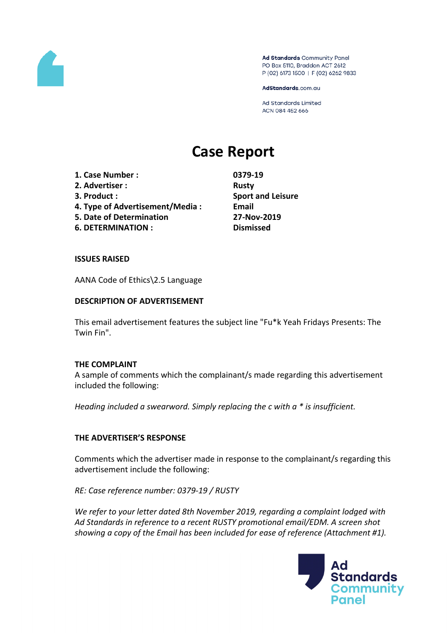

Ad Standards Community Panel PO Box 5110, Braddon ACT 2612 P (02) 6173 1500 | F (02) 6262 9833

AdStandards.com.au

Ad Standards Limited ACN 084 452 666

# **Case Report**

- **1. Case Number : 0379-19 2. Advertiser : Rusty**
- 
- 
- **4. Type of Advertisement/Media : Email**
- **5. Date of Determination 27-Nov-2019**
- **6. DETERMINATION : Dismissed**

**3. Product : Sport and Leisure**

#### **ISSUES RAISED**

AANA Code of Ethics\2.5 Language

### **DESCRIPTION OF ADVERTISEMENT**

This email advertisement features the subject line "Fu\*k Yeah Fridays Presents: The Twin Fin".

#### **THE COMPLAINT**

A sample of comments which the complainant/s made regarding this advertisement included the following:

*Heading included a swearword. Simply replacing the c with a \* is insufficient.*

## **THE ADVERTISER'S RESPONSE**

Comments which the advertiser made in response to the complainant/s regarding this advertisement include the following:

*RE: Case reference number: 0379-19 / RUSTY*

*We refer to your letter dated 8th November 2019, regarding a complaint lodged with Ad Standards in reference to a recent RUSTY promotional email/EDM. A screen shot showing a copy of the Email has been included for ease of reference (Attachment #1).*

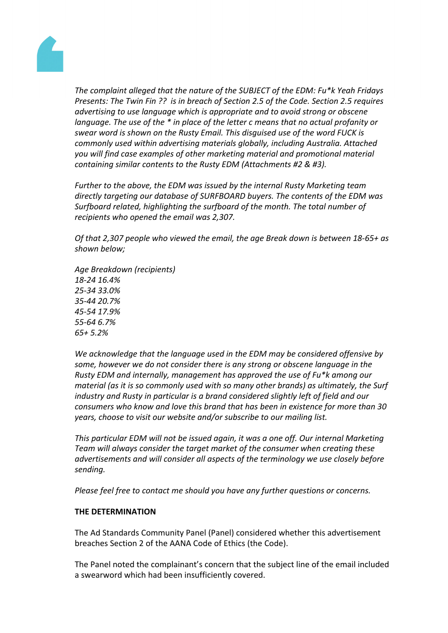

*The complaint alleged that the nature of the SUBJECT of the EDM: Fu\*k Yeah Fridays Presents: The Twin Fin ?? is in breach of Section 2.5 of the Code. Section 2.5 requires advertising to use language which is appropriate and to avoid strong or obscene language. The use of the \* in place of the letter c means that no actual profanity or swear word is shown on the Rusty Email. This disguised use of the word FUCK is commonly used within advertising materials globally, including Australia. Attached you will find case examples of other marketing material and promotional material containing similar contents to the Rusty EDM (Attachments #2 & #3).*

*Further to the above, the EDM was issued by the internal Rusty Marketing team directly targeting our database of SURFBOARD buyers. The contents of the EDM was Surfboard related, highlighting the surfboard of the month. The total number of recipients who opened the email was 2,307.*

*Of that 2,307 people who viewed the email, the age Break down is between 18-65+ as shown below;*

*Age Breakdown (recipients) 18-24 16.4% 25-34 33.0% 35-44 20.7% 45-54 17.9% 55-64 6.7% 65+ 5.2%*

*We acknowledge that the language used in the EDM may be considered offensive by some, however we do not consider there is any strong or obscene language in the Rusty EDM and internally, management has approved the use of Fu\*k among our material (as it is so commonly used with so many other brands) as ultimately, the Surf industry and Rusty in particular is a brand considered slightly left of field and our consumers who know and love this brand that has been in existence for more than 30 years, choose to visit our website and/or subscribe to our mailing list.*

*This particular EDM will not be issued again, it was a one off. Our internal Marketing Team will always consider the target market of the consumer when creating these advertisements and will consider all aspects of the terminology we use closely before sending.*

*Please feel free to contact me should you have any further questions or concerns.*

#### **THE DETERMINATION**

The Ad Standards Community Panel (Panel) considered whether this advertisement breaches Section 2 of the AANA Code of Ethics (the Code).

The Panel noted the complainant's concern that the subject line of the email included a swearword which had been insufficiently covered.